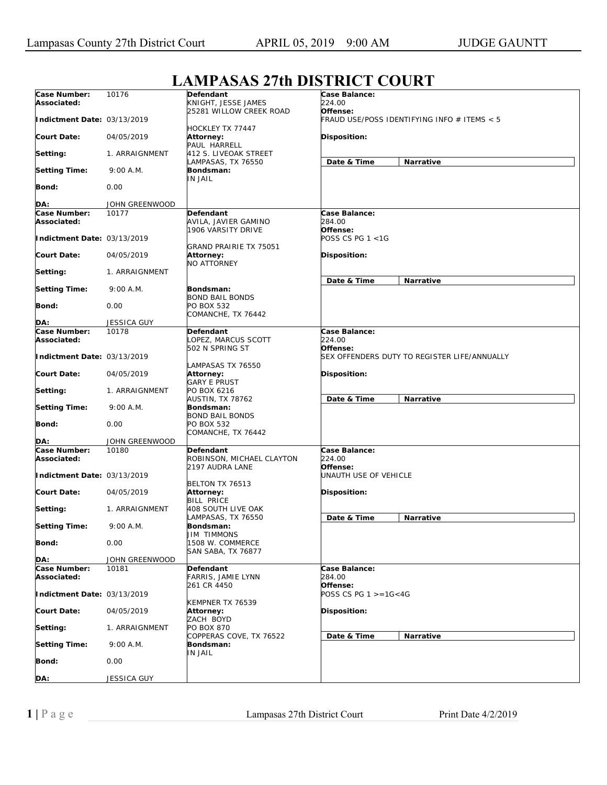|                                                   |                | L'IMI AMA L'UI DISTRICT COUNT                             |                                                              |
|---------------------------------------------------|----------------|-----------------------------------------------------------|--------------------------------------------------------------|
| Case Number:<br>Associated:                       | 10176          | Defendant<br>KNIGHT, JESSE JAMES                          | <b>Case Balance:</b><br>224.00                               |
| Indictment Date: 03/13/2019                       |                | 25281 WILLOW CREEK ROAD                                   | Offense:<br>FRAUD USE/POSS IDENTIFYING INFO # ITEMS < 5      |
| <b>Court Date:</b>                                | 04/05/2019     | HOCKLEY TX 77447<br>Attorney:<br>PAUL HARRELL             | Disposition:                                                 |
| Setting:                                          | 1. ARRAIGNMENT | 412 S. LIVEOAK STREET<br>LAMPASAS, TX 76550               | Date & Time<br>Narrative                                     |
| <b>Setting Time:</b>                              | 9:00 A.M.      | Bondsman:<br>IN JAIL                                      |                                                              |
| Bond:                                             | 0.00           |                                                           |                                                              |
| DA:                                               | JOHN GREENWOOD |                                                           |                                                              |
| Case Number:<br>Associated:                       | 10177          | Defendant<br>AVILA, JAVIER GAMINO<br>1906 VARSITY DRIVE   | Case Balance:<br>284.00<br>Offense:                          |
| Indictment Date: 03/13/2019                       |                | GRAND PRAIRIE TX 75051                                    | POSS CS PG 1 <1G                                             |
| <b>Court Date:</b>                                | 04/05/2019     | Attorney:<br><b>NO ATTORNEY</b>                           | Disposition:                                                 |
| Setting:                                          | 1. ARRAIGNMENT |                                                           | Date & Time<br>Narrative                                     |
| <b>Setting Time:</b>                              | 9:00 A.M.      | Bondsman:<br><b>BOND BAIL BONDS</b>                       |                                                              |
| Bond:                                             | 0.00           | PO BOX 532<br>COMANCHE, TX 76442                          |                                                              |
| DA:                                               | JESSICA GUY    |                                                           |                                                              |
| Case Number:                                      | 10178          | <b>Defendant</b>                                          | Case Balance:                                                |
| Associated:                                       |                | LOPEZ, MARCUS SCOTT<br>502 N SPRING ST                    | 224.00<br>Offense:                                           |
| Indictment Date: 03/13/2019<br><b>Court Date:</b> | 04/05/2019     | LAMPASAS TX 76550                                         | SEX OFFENDERS DUTY TO REGISTER LIFE/ANNUALLY<br>Disposition: |
|                                                   |                | <b>Attorney:</b><br><b>GARY E PRUST</b><br>PO BOX 6216    |                                                              |
| Setting:                                          | 1. ARRAIGNMENT | AUSTIN, TX 78762                                          | Date & Time<br>Narrative                                     |
| <b>Setting Time:</b>                              | 9:00 A.M.      | Bondsman:<br><b>BOND BAIL BONDS</b>                       |                                                              |
| Bond:                                             | 0.00           | PO BOX 532<br>COMANCHE, TX 76442                          |                                                              |
| DA:                                               | JOHN GREENWOOD |                                                           |                                                              |
| Case Number:<br>Associated:                       | 10180          | Defendant<br>ROBINSON, MICHAEL CLAYTON<br>2197 AUDRA LANE | Case Balance:<br>224.00<br>Offense:                          |
| Indictment Date: 03/13/2019                       |                | BELTON TX 76513                                           | <b>UNAUTH USE OF VEHICLE</b>                                 |
| <b>Court Date:</b>                                | 04/05/2019     | Attorney:<br><b>BILL PRICE</b>                            | Disposition:                                                 |
| Setting:                                          | 1. ARRAIGNMENT | 408 SOUTH LIVE OAK<br>LAMPASAS, TX 76550                  | Date & Time<br>Narrative                                     |
| <b>Setting Time:</b>                              | 9:00 A.M.      | Bondsman:<br><b>JIM TIMMONS</b>                           |                                                              |
| Bond:                                             | 0.00           | 1508 W. COMMERCE<br><b>SAN SABA, TX 76877</b>             |                                                              |
| DA:                                               | JOHN GREENWOOD |                                                           |                                                              |
| Case Number:<br>Associated:                       | 10181          | Defendant<br>FARRIS, JAMIE LYNN                           | Case Balance:<br>284.00                                      |
| Indictment Date: 03/13/2019                       |                | 261 CR 4450                                               | Offense:<br>POSS CS PG $1 > = 16 < 4G$                       |
| <b>Court Date:</b>                                | 04/05/2019     | KEMPNER TX 76539<br>Attorney:<br>ZACH BOYD                | Disposition:                                                 |
| Setting:                                          | 1. ARRAIGNMENT | <b>PO BOX 870</b>                                         |                                                              |
| <b>Setting Time:</b>                              | 9:00 A.M.      | COPPERAS COVE, TX 76522<br>Bondsman:<br><b>IN JAIL</b>    | Narrative<br>Date & Time                                     |
| Bond:                                             | 0.00           |                                                           |                                                              |
| DA:                                               | JESSICA GUY    |                                                           |                                                              |

## **LAMPASAS 27th DISTRICT COURT**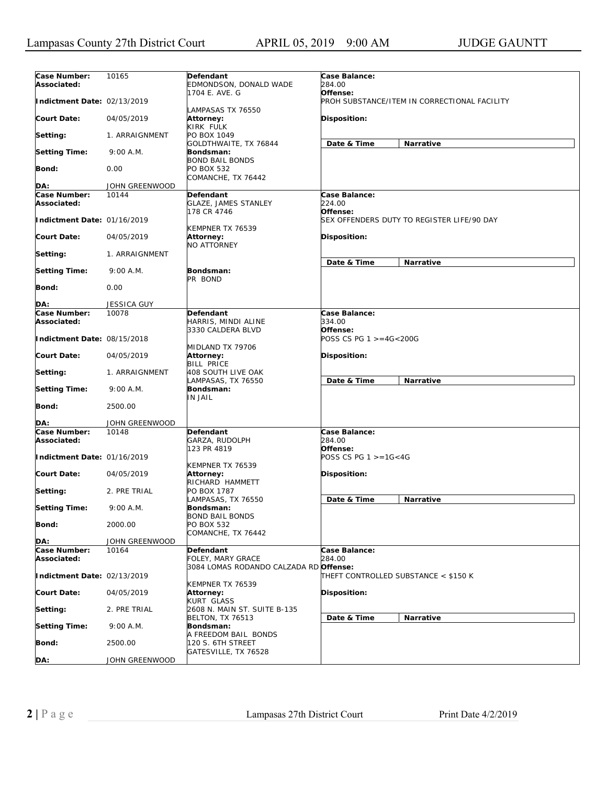| Case Number:<br>Associated: | 10165              | Defendant<br>EDMONDSON, DONALD WADE                               | Case Balance:<br>284.00              |                                              |
|-----------------------------|--------------------|-------------------------------------------------------------------|--------------------------------------|----------------------------------------------|
| Indictment Date: 02/13/2019 |                    | 1704 E. AVE. G<br>LAMPASAS TX 76550                               | Offense:                             | PROH SUBSTANCE/ITEM IN CORRECTIONAL FACILITY |
| Court Date:                 | 04/05/2019         | Attorney:<br>KIRK FULK                                            | Disposition:                         |                                              |
| Setting:                    | 1. ARRAIGNMENT     | PO BOX 1049                                                       |                                      |                                              |
| <b>Setting Time:</b>        | 9:00 A.M.          | GOLDTHWAITE, TX 76844<br>Bondsman:                                | Date & Time                          | Narrative                                    |
| Bond:                       | 0.00               | <b>BOND BAIL BONDS</b><br>PO BOX 532<br>COMANCHE, TX 76442        |                                      |                                              |
| DA:                         | JOHN GREENWOOD     |                                                                   |                                      |                                              |
| Case Number:                | 10144              | Defendant                                                         | Case Balance:                        |                                              |
| Associated:                 |                    | <b>GLAZE, JAMES STANLEY</b><br>178 CR 4746                        | 224.00<br>Offense:                   |                                              |
| Indictment Date: 01/16/2019 |                    | KEMPNER TX 76539                                                  |                                      | SEX OFFENDERS DUTY TO REGISTER LIFE/90 DAY   |
| Court Date:                 | 04/05/2019         | Attorney:<br><b>NO ATTORNEY</b>                                   | Disposition:                         |                                              |
| Setting:                    | 1. ARRAIGNMENT     |                                                                   | Date & Time                          | Narrative                                    |
| <b>Setting Time:</b>        | 9:00 A.M.          | Bondsman:                                                         |                                      |                                              |
| Bond:                       | 0.00               | PR BOND                                                           |                                      |                                              |
| DA:                         | <b>JESSICA GUY</b> |                                                                   |                                      |                                              |
| Case Number:                | 10078              | Defendant                                                         | Case Balance:                        |                                              |
| Associated:                 |                    | HARRIS, MINDI ALINE                                               | 334.00                               |                                              |
| Indictment Date: 08/15/2018 |                    | 3330 CALDERA BLVD<br>MIDLAND TX 79706                             | Offense:<br>POSS CS PG 1 >=4G<200G   |                                              |
| Court Date:                 | 04/05/2019         | Attorney:<br><b>BILL PRICE</b>                                    | Disposition:                         |                                              |
| Setting:                    | 1. ARRAIGNMENT     | 408 SOUTH LIVE OAK<br>LAMPASAS, TX 76550                          | Date & Time                          | Narrative                                    |
| <b>Setting Time:</b>        | 9:00 A.M.          | Bondsman:<br><b>IN JAIL</b>                                       |                                      |                                              |
| Bond:                       | 2500.00            |                                                                   |                                      |                                              |
| DA:                         | JOHN GREENWOOD     |                                                                   |                                      |                                              |
| Case Number:<br>Associated: | 10148              | Defendant<br>GARZA, RUDOLPH<br>123 PR 4819                        | Case Balance:<br>284.00<br>Offense:  |                                              |
| Indictment Date: 01/16/2019 |                    |                                                                   | POSS CS PG $1 > = 16 < 4G$           |                                              |
| Court Date:                 | 04/05/2019         | KEMPNER TX 76539<br><b>Attorney:</b><br>RICHARD HAMMETT           | <b>Disposition:</b>                  |                                              |
| Setting:                    | 2. PRE TRIAL       | PO BOX 1787<br>LAMPASAS, TX 76550                                 | Date & Time                          | Narrative                                    |
| <b>Setting Time:</b>        | 9:00 A.M.          | Bondsman:                                                         |                                      |                                              |
| <b>Bond:</b>                | 2000.00            | <b>BOND BAIL BONDS</b><br><b>PO BOX 532</b><br>COMANCHE, TX 76442 |                                      |                                              |
| DA:                         | JOHN GREENWOOD     |                                                                   |                                      |                                              |
| Case Number:<br>Associated: | 10164              | Defendant<br>FOLEY, MARY GRACE                                    | Case Balance:<br>284.00              |                                              |
| Indictment Date: 02/13/2019 |                    | 3084 LOMAS RODANDO CALZADA RD Offense:                            | THEFT CONTROLLED SUBSTANCE < \$150 K |                                              |
| <b>Court Date:</b>          | 04/05/2019         | KEMPNER TX 76539<br>Attorney:                                     | Disposition:                         |                                              |
| Setting:                    | 2. PRE TRIAL       | KURT GLASS<br>2608 N. MAIN ST. SUITE B-135                        |                                      |                                              |
| <b>Setting Time:</b>        | 9:00 A.M.          | <b>BELTON, TX 76513</b><br>Bondsman:                              | Date & Time                          | Narrative                                    |
| <b>Bond:</b>                | 2500.00            | A FREEDOM BAIL BONDS<br>120 S. 6TH STREET                         |                                      |                                              |
| DA:                         | JOHN GREENWOOD     | GATESVILLE, TX 76528                                              |                                      |                                              |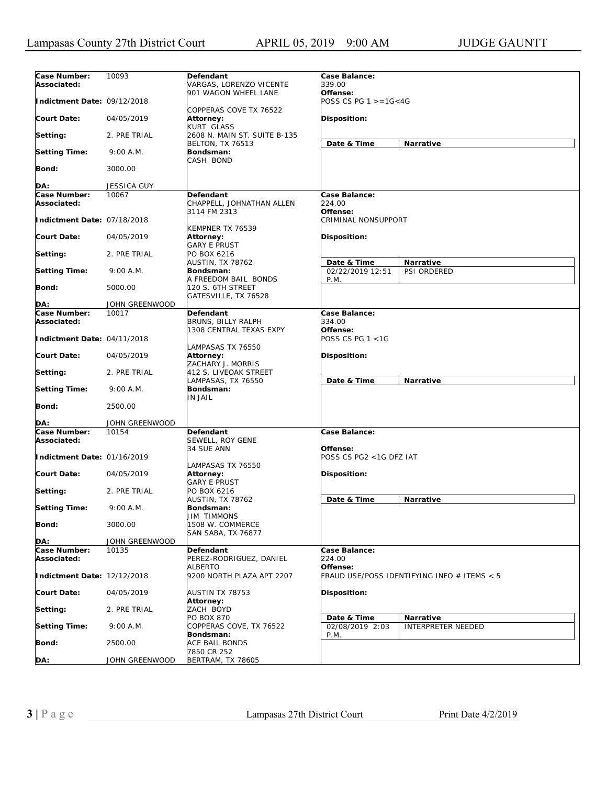| Case Number:<br>Associated: | 10093          | <b>Defendant</b><br>VARGAS, LORENZO VICENTE                  | Case Balance:<br>339.00                |                                             |
|-----------------------------|----------------|--------------------------------------------------------------|----------------------------------------|---------------------------------------------|
| Indictment Date: 09/12/2018 |                | 901 WAGON WHEEL LANE                                         | Offense:<br>POSS CS PG $1 > = 16 < 4G$ |                                             |
| <b>Court Date:</b>          | 04/05/2019     | COPPERAS COVE TX 76522<br>Attorney:                          | Disposition:                           |                                             |
| Setting:                    | 2. PRE TRIAL   | KURT GLASS<br>2608 N. MAIN ST. SUITE B-135                   | Date & Time                            | Narrative                                   |
| <b>Setting Time:</b>        | 9:00 A.M.      | <b>BELTON, TX 76513</b><br>Bondsman:<br>CASH BOND            |                                        |                                             |
| <b>Bond:</b>                | 3000.00        |                                                              |                                        |                                             |
| DA:                         | JESSICA GUY    |                                                              |                                        |                                             |
|                             | 10067          |                                                              |                                        |                                             |
| Case Number:                |                | Defendant                                                    | Case Balance:                          |                                             |
| Associated:                 |                | CHAPPELL, JOHNATHAN ALLEN<br>3114 FM 2313                    | 224.00<br>Offense:                     |                                             |
| Indictment Date: 07/18/2018 |                | KEMPNER TX 76539                                             | <b>CRIMINAL NONSUPPORT</b>             |                                             |
| <b>Court Date:</b>          | 04/05/2019     | Attorney:<br><b>GARY E PRUST</b>                             | Disposition:                           |                                             |
| Setting:                    | 2. PRE TRIAL   | PO BOX 6216<br><b>AUSTIN, TX 78762</b>                       | Date & Time                            | Narrative                                   |
| <b>Setting Time:</b>        | 9:00 A.M.      | Bondsman:<br>A FREEDOM BAIL BONDS                            | 02/22/2019 12:51<br>P.M.               | PSI ORDERED                                 |
| <b>Bond:</b>                | 5000.00        | 120 S. 6TH STREET<br>GATESVILLE, TX 76528                    |                                        |                                             |
| DA:                         | JOHN GREENWOOD |                                                              |                                        |                                             |
| Case Number:                | 10017          | Defendant                                                    | Case Balance:                          |                                             |
| Associated:                 |                | BRUNS, BILLY RALPH<br>1308 CENTRAL TEXAS EXPY                | 334.00<br>Offense:                     |                                             |
| Indictment Date: 04/11/2018 |                | LAMPASAS TX 76550                                            | POSS CS PG 1 <1G                       |                                             |
| <b>Court Date:</b>          | 04/05/2019     | Attorney:<br>ZACHARY J. MORRIS                               | Disposition:                           |                                             |
| Setting:                    | 2. PRE TRIAL   | 412 S. LIVEOAK STREET<br>LAMPASAS, TX 76550                  | Date & Time                            | Narrative                                   |
| <b>Setting Time:</b>        | 9:00 A.M.      | Bondsman:<br>IN JAIL                                         |                                        |                                             |
| <b>Bond:</b>                | 2500.00        |                                                              |                                        |                                             |
| DA:                         | JOHN GREENWOOD |                                                              |                                        |                                             |
| Case Number:<br>Associated: | 10154          | Defendant<br>SEWELL, ROY GENE                                | Case Balance:                          |                                             |
| Indictment Date: 01/16/2019 |                | 34 SUE ANN                                                   | Offense:<br>POSS CS PG2 <1G DFZ IAT    |                                             |
| <b>Court Date:</b>          | 04/05/2019     | LAMPASAS TX 76550<br>Attorney:                               | Disposition:                           |                                             |
| Setting:                    | 2. PRE TRIAL   | GARY E PRUST<br>PO BOX 6216                                  |                                        |                                             |
| <b>Setting Time:</b>        | 9:00 A.M.      | AUSTIN, TX 78762<br>Bondsman:                                | Date & Time                            | Narrative                                   |
| Bond:                       | 3000.00        | <b>JIM TIMMONS</b><br>1508 W. COMMERCE<br>SAN SABA, TX 76877 |                                        |                                             |
| DA:                         | JOHN GREENWOOD |                                                              |                                        |                                             |
| Case Number:                | 10135          | Defendant                                                    | Case Balance:                          |                                             |
| Associated:                 |                | PEREZ-RODRIGUEZ, DANIEL<br>ALBERTO                           | 224.00<br>Offense:                     |                                             |
| Indictment Date: 12/12/2018 |                | 9200 NORTH PLAZA APT 2207                                    |                                        | FRAUD USE/POSS IDENTIFYING INFO # ITEMS < 5 |
| <b>Court Date:</b>          | 04/05/2019     | AUSTIN TX 78753<br><b>Attorney:</b>                          | Disposition:                           |                                             |
| Setting:                    | 2. PRE TRIAL   | ZACH BOYD<br><b>PO BOX 870</b>                               |                                        |                                             |
| <b>Setting Time:</b>        | 9:00 A.M.      | COPPERAS COVE, TX 76522                                      | Date & Time<br>02/08/2019 2:03         | Narrative<br><b>INTERPRETER NEEDED</b>      |
| <b>Bond:</b>                | 2500.00        | Bondsman:<br>ACE BAIL BONDS                                  | P.M.                                   |                                             |
| DA:                         | JOHN GREENWOOD | 7850 CR 252<br>BERTRAM, TX 78605                             |                                        |                                             |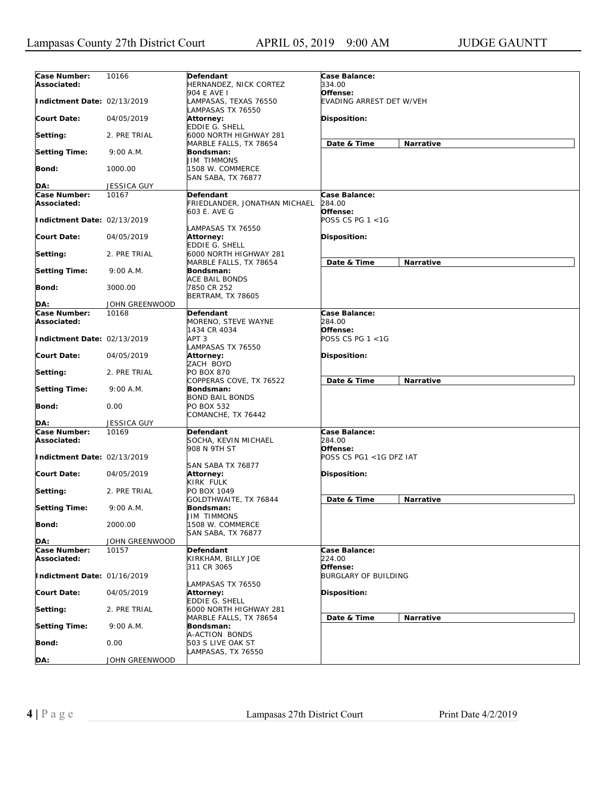| Case Number:<br>Associated: | 10166              | Defendant<br>HERNANDEZ, NICK CORTEZ                       | Case Balance:<br>334.00              |           |
|-----------------------------|--------------------|-----------------------------------------------------------|--------------------------------------|-----------|
| Indictment Date: 02/13/2019 |                    | 904 E AVE I<br>LAMPASAS, TEXAS 76550<br>LAMPASAS TX 76550 | Offense:<br>EVADING ARREST DET W/VEH |           |
| <b>Court Date:</b>          | 04/05/2019         | Attorney:<br>EDDIE G. SHELL                               | Disposition:                         |           |
| Setting:                    | 2. PRE TRIAL       | 6000 NORTH HIGHWAY 281<br>MARBLE FALLS, TX 78654          | Date & Time                          | Narrative |
| <b>Setting Time:</b>        | 9:00 A.M.          | Bondsman:<br>JIM TIMMONS                                  |                                      |           |
| Bond:                       | 1000.00            | 1508 W. COMMERCE<br>SAN SABA, TX 76877                    |                                      |           |
| DA:                         | <b>JESSICA GUY</b> |                                                           |                                      |           |
| Case Number:                | 10167              | Defendant                                                 | Case Balance:                        |           |
| Associated:                 |                    | FRIEDLANDER, JONATHAN MICHAEL<br>603 E. AVE G             | 284.00<br>Offense:                   |           |
| Indictment Date: 02/13/2019 |                    | LAMPASAS TX 76550                                         | POSS CS PG 1 <1G                     |           |
| <b>Court Date:</b>          | 04/05/2019         | Attorney:<br>EDDIE G. SHELL                               | Disposition:                         |           |
| Setting:                    | 2. PRE TRIAL       | 6000 NORTH HIGHWAY 281<br>MARBLE FALLS, TX 78654          | Date & Time                          | Narrative |
| <b>Setting Time:</b>        | 9:00 A.M.          | Bondsman:<br>ACE BAIL BONDS                               |                                      |           |
| Bond:                       | 3000.00            | 7850 CR 252<br><b>BERTRAM, TX 78605</b>                   |                                      |           |
| DA:                         | JOHN GREENWOOD     |                                                           |                                      |           |
| Case Number:                | 10168              | Defendant                                                 | Case Balance:                        |           |
| Associated:                 |                    | MORENO, STEVE WAYNE                                       | 284.00                               |           |
| Indictment Date: 02/13/2019 |                    | 1434 CR 4034<br>APT <sub>3</sub>                          | Offense:<br>POSS CS PG 1 <1G         |           |
| <b>Court Date:</b>          | 04/05/2019         | LAMPASAS TX 76550<br>Attorney:<br>ZACH BOYD               | <b>Disposition:</b>                  |           |
| Setting:                    | 2. PRE TRIAL       | PO BOX 870<br>COPPERAS COVE, TX 76522                     | Date & Time                          | Narrative |
| <b>Setting Time:</b>        | 9:00 A.M.          | Bondsman:<br><b>BOND BAIL BONDS</b>                       |                                      |           |
| Bond:                       | 0.00               | PO BOX 532<br>COMANCHE, TX 76442                          |                                      |           |
| DA:                         | JESSICA GUY        |                                                           |                                      |           |
| Case Number:<br>Associated: | 10169              | Defendant<br>SOCHA, KEVIN MICHAEL<br>908 N 9TH ST         | Case Balance:<br>284.00<br>Offense:  |           |
| Indictment Date: 02/13/2019 |                    | SAN SABA TX 76877                                         | POSS CS PG1 <1G DFZ IAT              |           |
| <b>Court Date:</b>          | 04/05/2019         | Attorney:<br>KIRK FULK                                    | <b>Disposition:</b>                  |           |
| Setting:                    | 2. PRE TRIAL       | PO BOX 1049<br>GOLDTHWAITE, TX 76844                      | Date & Time                          | Narrative |
| <b>Setting Time:</b>        | 9:00 A.M.          | Bondsman:<br>JIM TIMMONS                                  |                                      |           |
| Bond:                       | 2000.00            | 1508 W. COMMERCE<br>SAN SABA, TX 76877                    |                                      |           |
| DA:                         | JOHN GREENWOOD     |                                                           |                                      |           |
| Case Number:                | 10157              | Defendant                                                 | Case Balance:                        |           |
| Associated:                 |                    | KIRKHAM, BILLY JOE<br>311 CR 3065                         | 224.00<br>Offense:                   |           |
| Indictment Date: 01/16/2019 |                    | LAMPASAS TX 76550                                         | <b>BURGLARY OF BUILDING</b>          |           |
| <b>Court Date:</b>          | 04/05/2019         | <b>Attorney:</b><br>EDDIE G. SHELL                        | <b>Disposition:</b>                  |           |
| Setting:                    | 2. PRE TRIAL       | 6000 NORTH HIGHWAY 281<br>MARBLE FALLS, TX 78654          | Date & Time                          | Narrative |
| <b>Setting Time:</b>        | 9:00 A.M.          | Bondsman:<br>A-ACTION BONDS                               |                                      |           |
| Bond:                       | 0.00               | 503 S LIVE OAK ST<br>LAMPASAS, TX 76550                   |                                      |           |
| DA:                         | JOHN GREENWOOD     |                                                           |                                      |           |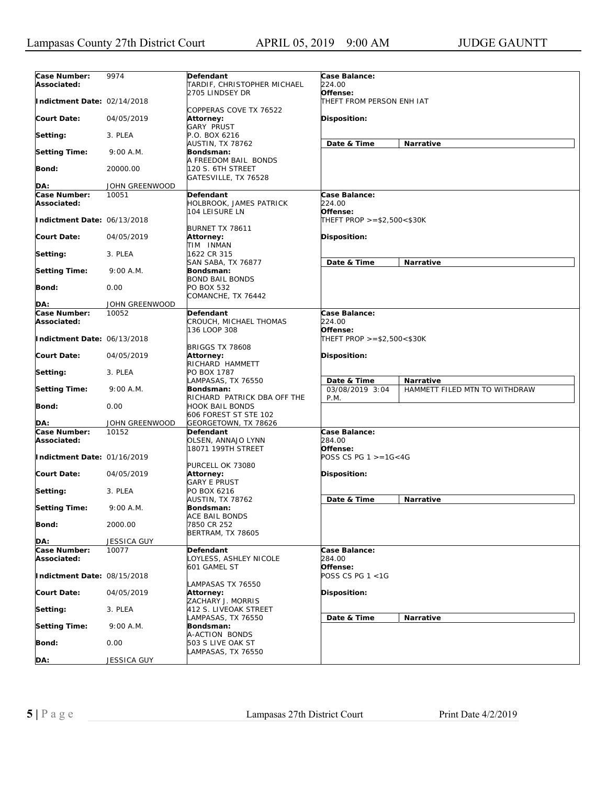| Case Number:<br>Associated: | 9974               | Defendant<br>TARDIF, CHRISTOPHER MICHAEL                       | Case Balance:<br>224.00                                                              |
|-----------------------------|--------------------|----------------------------------------------------------------|--------------------------------------------------------------------------------------|
| Indictment Date: 02/14/2018 |                    | 2705 LINDSEY DR                                                | Offense:<br>THEFT FROM PERSON ENH IAT                                                |
| <b>Court Date:</b>          | 04/05/2019         | COPPERAS COVE TX 76522<br>Attorney:<br>GARY PRUST              | Disposition:                                                                         |
| Setting:                    | 3. PLEA            | P.O. BOX 6216                                                  |                                                                                      |
| <b>Setting Time:</b>        | 9:00 A.M.          | AUSTIN, TX 78762<br>Bondsman:<br>A FREEDOM BAIL BONDS          | <b>Narrative</b><br>Date & Time                                                      |
| Bond:                       | 20000.00           | 120 S. 6TH STREET<br>GATESVILLE, TX 76528                      |                                                                                      |
| DA:                         | JOHN GREENWOOD     |                                                                |                                                                                      |
| Case Number:                | 10051              | Defendant                                                      | Case Balance:                                                                        |
| Associated:                 |                    | HOLBROOK, JAMES PATRICK<br>104 LEISURE LN                      | 224.00<br>Offense:                                                                   |
| Indictment Date: 06/13/2018 |                    | BURNET TX 78611                                                | THEFT PROP >=\$2,500<\$30K                                                           |
| Court Date:                 | 04/05/2019         | Attorney:<br>TIM INMAN                                         | Disposition:                                                                         |
| Setting:                    | 3. PLEA            | 1622 CR 315                                                    | <b>Narrative</b>                                                                     |
| <b>Setting Time:</b>        | 9:00 A.M.          | SAN SABA, TX 76877<br>Bondsman:<br><b>BOND BAIL BONDS</b>      | Date & Time                                                                          |
| Bond:                       | 0.00               | PO BOX 532<br>COMANCHE, TX 76442                               |                                                                                      |
| DA:                         | JOHN GREENWOOD     |                                                                |                                                                                      |
| Case Number:                | 10052              | Defendant                                                      | Case Balance:                                                                        |
| Associated:                 |                    | CROUCH, MICHAEL THOMAS                                         | 224.00                                                                               |
| Indictment Date: 06/13/2018 |                    | 136 LOOP 308                                                   | Offense:<br>THEFT PROP >=\$2,500<\$30K                                               |
| Court Date:                 | 04/05/2019         | <b>BRIGGS TX 78608</b><br>Attorney:<br>RICHARD HAMMETT         | Disposition:                                                                         |
| Setting:                    | 3. PLEA            | PO BOX 1787                                                    |                                                                                      |
| <b>Setting Time:</b>        | 9:00 A.M.          | LAMPASAS, TX 76550<br>Bondsman:<br>RICHARD PATRICK DBA OFF THE | Date & Time<br>Narrative<br>03/08/2019 3:04<br>HAMMETT FILED MTN TO WITHDRAW<br>P.M. |
| Bond:                       | 0.00               | HOOK BAIL BONDS<br>606 FOREST ST STE 102                       |                                                                                      |
| DA:                         | JOHN GREENWOOD     | GEORGETOWN, TX 78626                                           |                                                                                      |
| Case Number:<br>Associated: | 10152              | Defendant<br>OLSEN, ANNAJO LYNN                                | Case Balance:<br>284.00                                                              |
| Indictment Date: 01/16/2019 |                    | 18071 199TH STREET                                             | Offense:<br>POSS CS PG 1 >=1G<4G                                                     |
| Court Date:                 | 04/05/2019         | PURCELL OK 73080<br>Attorney:<br><b>GARY E PRUST</b>           | Disposition:                                                                         |
| Setting:                    | 3. PLEA            | PO BOX 6216<br>AUSTIN, TX 78762                                | Date & Time<br>Narrative                                                             |
| <b>Setting Time:</b>        | 9:00 A.M.          | Bondsman:<br>ACE BAIL BONDS                                    |                                                                                      |
| Bond:                       | 2000.00            | 7850 CR 252<br><b>BERTRAM, TX 78605</b>                        |                                                                                      |
| DA:                         | <b>JESSICA GUY</b> |                                                                |                                                                                      |
| Case Number:<br>Associated: | 10077              | Defendant<br>OYLESS, ASHLEY NICOLE<br>601 GAMEL ST             | Case Balance:<br>284.00<br>Offense:                                                  |
| Indictment Date: 08/15/2018 |                    |                                                                | POSS CS PG 1 <1G                                                                     |
| <b>Court Date:</b>          | 04/05/2019         | LAMPASAS TX 76550<br>Attorney:<br>ZACHARY J. MORRIS            | Disposition:                                                                         |
| Setting:                    | 3. PLEA            | 412 S. LIVEOAK STREET                                          |                                                                                      |
| <b>Setting Time:</b>        | 9:00 A.M.          | LAMPASAS, TX 76550<br>Bondsman:<br>A-ACTION BONDS              | Date & Time<br>Narrative                                                             |
| Bond:                       | 0.00               | 503 S LIVE OAK ST<br>LAMPASAS, TX 76550                        |                                                                                      |
| DA:                         | JESSICA GUY        |                                                                |                                                                                      |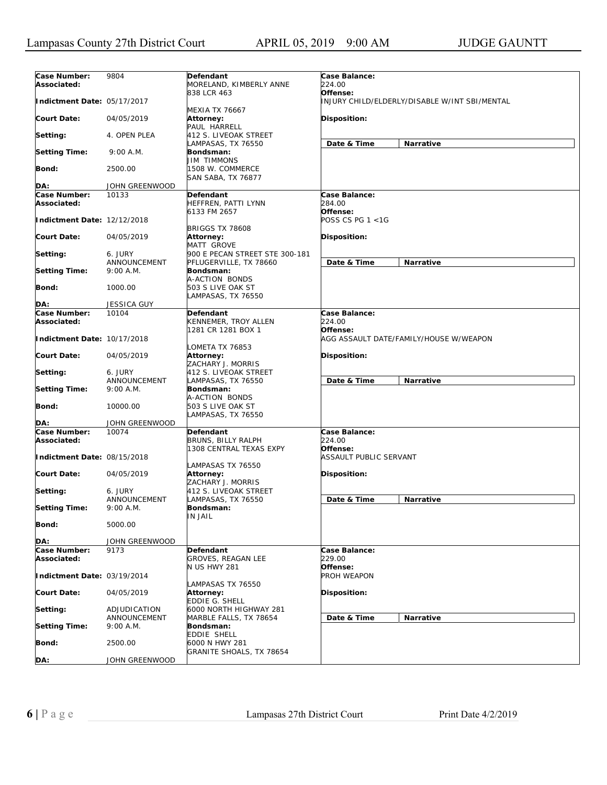| Case Number:<br>Associated: | 9804                      | Defendant<br>MORELAND, KIMBERLY ANNE                      | Case Balance:<br>224.00                                   |
|-----------------------------|---------------------------|-----------------------------------------------------------|-----------------------------------------------------------|
| Indictment Date: 05/17/2017 |                           | 838 LCR 463                                               | Offense:<br>INJURY CHILD/ELDERLY/DISABLE W/INT SBI/MENTAL |
| <b>Court Date:</b>          | 04/05/2019                | MEXIA TX 76667<br>Attorney:<br>PAUL HARRELL               | Disposition:                                              |
| Setting:                    | 4. OPEN PLEA              | 412 S. LIVEOAK STREET                                     |                                                           |
| <b>Setting Time:</b>        | 9:00 A.M.                 | LAMPASAS, TX 76550<br>Bondsman:                           | Narrative<br>Date & Time                                  |
| Bond:                       | 2500.00                   | JIM TIMMONS<br>1508 W. COMMERCE                           |                                                           |
|                             |                           | <b>SAN SABA, TX 76877</b>                                 |                                                           |
| DA:                         | JOHN GREENWOOD            |                                                           |                                                           |
| Case Number:<br>Associated: | 10133                     | Defendant<br>HEFFREN, PATTI LYNN<br>6133 FM 2657          | Case Balance:<br>284.00<br>Offense:                       |
| Indictment Date: 12/12/2018 |                           | <b>BRIGGS TX 78608</b>                                    | POSS CS PG 1 <1G                                          |
| Court Date:                 | 04/05/2019                | Attorney:<br>MATT GROVE                                   | Disposition:                                              |
| Setting:                    | 6. JURY                   | 900 E PECAN STREET STE 300-181                            |                                                           |
|                             | ANNOUNCEMENT              | PFLUGERVILLE, TX 78660                                    | Date & Time<br><b>Narrative</b>                           |
| <b>Setting Time:</b>        | 9:00 A.M.                 | Bondsman:<br>A-ACTION BONDS                               |                                                           |
| Bond:                       | 1000.00                   | 503 S LIVE OAK ST<br>LAMPASAS, TX 76550                   |                                                           |
| DA:                         | <b>JESSICA GUY</b>        |                                                           |                                                           |
| Case Number:                | 10104                     | Defendant                                                 | Case Balance:                                             |
| Associated:                 |                           | KENNEMER, TROY ALLEN                                      | 224.00                                                    |
| Indictment Date: 10/17/2018 |                           | 1281 CR 1281 BOX 1                                        | Offense:<br>AGG ASSAULT DATE/FAMILY/HOUSE W/WEAPON        |
| Court Date:                 | 04/05/2019                | OMETA TX 76853<br>Attorney:<br>ZACHARY J. MORRIS          | Disposition:                                              |
| Setting:                    | 6. JURY                   | 412 S. LIVEOAK STREET                                     |                                                           |
|                             | ANNOUNCEMENT              | LAMPASAS, TX 76550                                        | Date & Time<br>Narrative                                  |
| <b>Setting Time:</b>        | 9:00 A.M.                 | Bondsman:                                                 |                                                           |
| Bond:                       | 10000.00                  | A-ACTION BONDS<br>503 S LIVE OAK ST<br>LAMPASAS, TX 76550 |                                                           |
| DA:                         | JOHN GREENWOOD            |                                                           |                                                           |
| Case Number:                | 10074                     | Defendant                                                 | Case Balance:                                             |
| Associated:                 |                           | BRUNS, BILLY RALPH<br>1308 CENTRAL TEXAS EXPY             | 224.00<br>Offense:                                        |
| Indictment Date: 08/15/2018 |                           | LAMPASAS TX 76550                                         | ASSAULT PUBLIC SERVANT                                    |
| Court Date:                 | 04/05/2019                | Attorney:<br>ZACHARY J. MORRIS                            | Disposition:                                              |
| Setting:                    | 6. JURY<br>ANNOUNCEMENT   | 412 S. LIVEOAK STREET<br>LAMPASAS, TX 76550               | Date & Time<br>Narrative                                  |
| <b>Setting Time:</b>        | 9:00 A.M.                 | Bondsman:<br><b>IN JAIL</b>                               |                                                           |
| Bond:                       | 5000.00                   |                                                           |                                                           |
| DA:                         | JOHN GREENWOOD            |                                                           |                                                           |
| Case Number:<br>Associated: | 9173                      | Defendant<br>GROVES, REAGAN LEE                           | Case Balance:<br><i>229.00</i>                            |
| Indictment Date: 03/19/2014 |                           | <b>N US HWY 281</b>                                       | Offense:<br>PROH WEAPON                                   |
| <b>Court Date:</b>          | 04/05/2019                | LAMPASAS TX 76550<br>Attorney:<br>EDDIE G. SHELL          | Disposition:                                              |
| Setting:                    | ADJUDICATION              | 6000 NORTH HIGHWAY 281<br>MARBLE FALLS, TX 78654          |                                                           |
| <b>Setting Time:</b>        | ANNOUNCEMENT<br>9:00 A.M. | Bondsman:                                                 | Date & Time<br>Narrative                                  |
| Bond:                       | 2500.00                   | EDDIE SHELL<br>6000 N HWY 281                             |                                                           |
| DA:                         | JOHN GREENWOOD            | GRANITE SHOALS, TX 78654                                  |                                                           |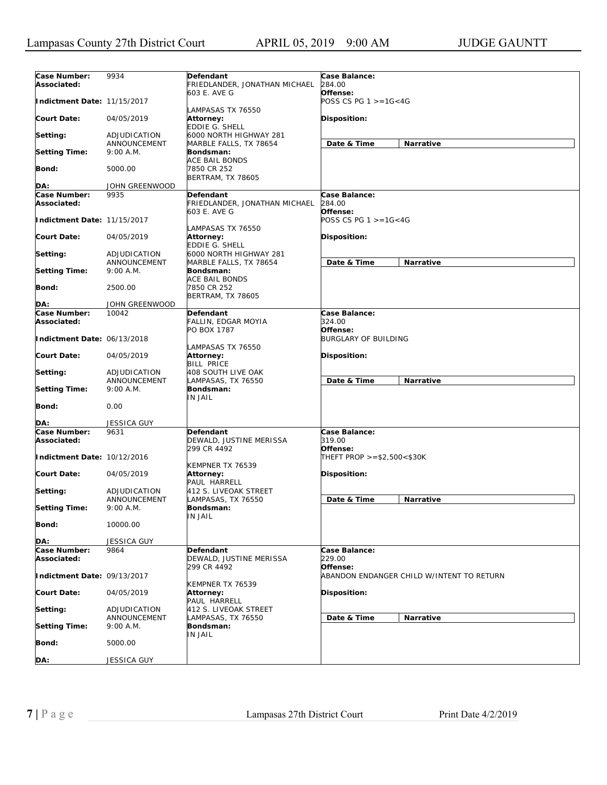| Case Number:<br>Associated:                | 9934                         | Defendant<br>FRIEDLANDER, JONATHAN MICHAEL          | Case Balance:<br>284.00                    |                                           |
|--------------------------------------------|------------------------------|-----------------------------------------------------|--------------------------------------------|-------------------------------------------|
| Indictment Date: 11/15/2017                |                              | 603 E. AVE G                                        | Offense:<br>POSS CS PG $1 > = 16 < 4G$     |                                           |
| <b>Court Date:</b>                         | 04/05/2019                   | LAMPASAS TX 76550<br>Attorney:<br>EDDIE G. SHELL    | Disposition:                               |                                           |
| Setting:                                   | ADJUDICATION                 | 6000 NORTH HIGHWAY 281                              |                                            |                                           |
| <b>Setting Time:</b>                       | ANNOUNCEMENT<br>9:00 A.M.    | MARBLE FALLS, TX 78654<br>Bondsman:                 | Date & Time                                | Narrative                                 |
| Bond:                                      | 5000.00                      | ACE BAIL BONDS<br>7850 CR 252                       |                                            |                                           |
| DA:                                        | JOHN GREENWOOD               | BERTRAM, TX 78605                                   |                                            |                                           |
| Case Number:                               | 9935                         | Defendant                                           | Case Balance:                              |                                           |
| Associated:                                |                              | FRIEDLANDER, JONATHAN MICHAEL<br>603 E. AVE G       | 284.00<br>Offense:                         |                                           |
| Indictment Date: 11/15/2017                |                              | LAMPASAS TX 76550                                   | POSS CS PG $1 > = 16 < 4G$                 |                                           |
| <b>Court Date:</b>                         | 04/05/2019                   | Attorney:<br>EDDIE G. SHELL                         | Disposition:                               |                                           |
| Setting:                                   | ADJUDICATION                 | 6000 NORTH HIGHWAY 281                              |                                            |                                           |
|                                            | ANNOUNCEMENT                 | MARBLE FALLS, TX 78654                              | Date & Time                                | Narrative                                 |
| <b>Setting Time:</b>                       | 9:00 A.M.                    | Bondsman:<br>ACE BAIL BONDS                         |                                            |                                           |
| Bond:                                      | 2500.00                      | 7850 CR 252<br><b>BERTRAM, TX 78605</b>             |                                            |                                           |
| DA:                                        | JOHN GREENWOOD               |                                                     |                                            |                                           |
| Case Number:                               | 10042                        | Defendant                                           | Case Balance:                              |                                           |
| Associated:<br>Indictment Date: 06/13/2018 |                              | FALLIN, EDGAR MOYIA<br>PO BOX 1787                  | 324.00<br>Offense:<br>BURGLARY OF BUILDING |                                           |
| <b>Court Date:</b>                         | 04/05/2019                   | LAMPASAS TX 76550<br>Attorney:                      | Disposition:                               |                                           |
|                                            |                              | BILL PRICE                                          |                                            |                                           |
| Setting:                                   | ADJUDICATION<br>ANNOUNCEMENT | 408 SOUTH LIVE OAK<br>LAMPASAS, TX 76550            | Date & Time                                | Narrative                                 |
| <b>Setting Time:</b>                       | 9:00 A.M.                    | Bondsman:<br>IN JAIL                                |                                            |                                           |
| Bond:                                      | 0.00                         |                                                     |                                            |                                           |
| DA:                                        | <b>JESSICA GUY</b>           |                                                     |                                            |                                           |
| Case Number:<br>Associated:                | 9631                         | Defendant<br>DEWALD, JUSTINE MERISSA<br>299 CR 4492 | Case Balance:<br>319.00<br>Offense:        |                                           |
| Indictment Date: 10/12/2016                |                              | KEMPNER TX 76539                                    | THEFT PROP $>= $2,500 < $30K$              |                                           |
| <b>Court Date:</b>                         | 04/05/2019                   | <b>Attorney:</b><br>PAUL HARRELL                    | Disposition:                               |                                           |
| Setting:                                   | ADJUDICATION<br>ANNOUNCEMENT | 412 S. LIVEOAK STREET<br>LAMPASAS, TX 76550         | Date & Time                                | Narrative                                 |
| <b>Setting Time:</b>                       | 9:00 A.M.                    | Bondsman:<br>IN JAIL                                |                                            |                                           |
| Bond:                                      | 10000.00                     |                                                     |                                            |                                           |
| DA:                                        | <b>JESSICA GUY</b>           |                                                     |                                            |                                           |
| Case Number:<br>Associated:                | 9864                         | Defendant<br>DEWALD, JUSTINE MERISSA                | Case Balance:<br>229.00                    |                                           |
| Indictment Date: 09/13/2017                |                              | 299 CR 4492                                         | Offense:                                   | ABANDON ENDANGER CHILD W/INTENT TO RETURN |
| <b>Court Date:</b>                         | 04/05/2019                   | KEMPNER TX 76539<br>Attorney:<br>PAUL HARRELL       | Disposition:                               |                                           |
| Setting:                                   | ADJUDICATION                 | 412 S. LIVEOAK STREET                               |                                            |                                           |
| <b>Setting Time:</b>                       | ANNOUNCEMENT<br>9:00 A.M.    | LAMPASAS, TX 76550<br>Bondsman:                     | Date & Time                                | Narrative                                 |
| <b>Bond:</b>                               | 5000.00                      | IN JAIL                                             |                                            |                                           |
| DA:                                        | <b>JESSICA GUY</b>           |                                                     |                                            |                                           |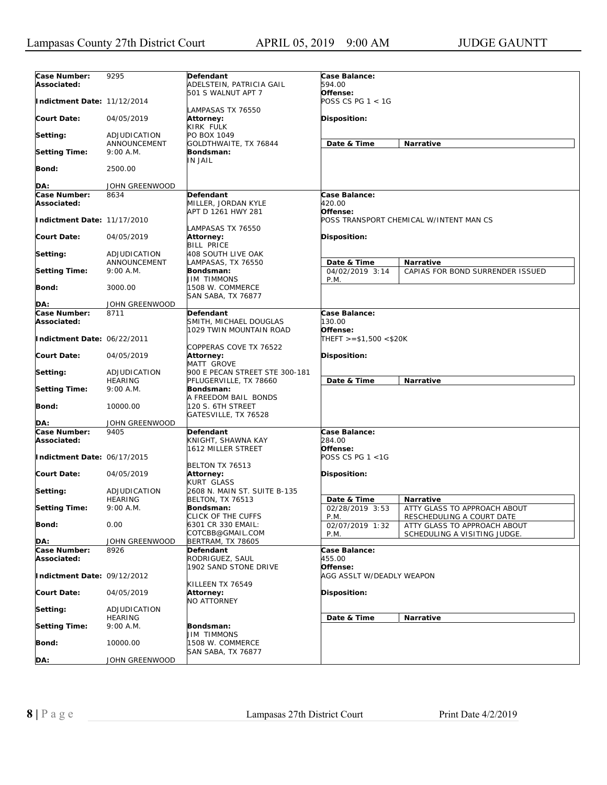| Case Number:                | 9295                           | Defendant                                    | Case Balance:                      |                                         |
|-----------------------------|--------------------------------|----------------------------------------------|------------------------------------|-----------------------------------------|
| Associated:                 |                                | ADELSTEIN, PATRICIA GAIL                     | 594.00                             |                                         |
| Indictment Date: 11/12/2014 |                                | 501 S WALNUT APT 7                           | Offense:<br>POSS CS PG 1 < 1G      |                                         |
|                             |                                | LAMPASAS TX 76550                            |                                    |                                         |
| <b>Court Date:</b>          | 04/05/2019                     | Attorney:<br>KIRK FULK                       | Disposition:                       |                                         |
| Setting:                    | ADJUDICATION                   | PO BOX 1049                                  |                                    |                                         |
|                             | ANNOUNCEMENT                   | GOLDTHWAITE, TX 76844                        | Date & Time                        | Narrative                               |
| <b>Setting Time:</b>        | 9:00 A.M.                      | Bondsman:<br><b>IN JAIL</b>                  |                                    |                                         |
| <b>Bond:</b>                | 2500.00                        |                                              |                                    |                                         |
| DA:                         | JOHN GREENWOOD                 |                                              |                                    |                                         |
| Case Number:                |                                | <b>Defendant</b>                             |                                    |                                         |
| Associated:                 | 8634                           | MILLER, JORDAN KYLE                          | Case Balance:<br>420.00            |                                         |
|                             |                                | APT D 1261 HWY 281                           | Offense:                           |                                         |
| Indictment Date: 11/17/2010 |                                |                                              |                                    | POSS TRANSPORT CHEMICAL W/INTENT MAN CS |
|                             |                                | LAMPASAS TX 76550                            |                                    |                                         |
| <b>Court Date:</b>          | 04/05/2019                     | Attorney:                                    | Disposition:                       |                                         |
|                             |                                | <b>BILL PRICE</b>                            |                                    |                                         |
| Setting:                    | ADJUDICATION                   | 408 SOUTH LIVE OAK                           |                                    |                                         |
|                             | ANNOUNCEMENT                   | LAMPASAS, TX 76550                           | Date & Time                        | Narrative                               |
| <b>Setting Time:</b>        | 9:00 A.M.                      | Bondsman:                                    | 04/02/2019 3:14                    | CAPIAS FOR BOND SURRENDER ISSUED        |
| Bond:                       | 3000.00                        | <b>JIM TIMMONS</b><br>1508 W. COMMERCE       | P.M.                               |                                         |
|                             |                                | SAN SABA, TX 76877                           |                                    |                                         |
| DA:                         | JOHN GREENWOOD                 |                                              |                                    |                                         |
| Case Number:                | 8711                           | Defendant                                    | Case Balance:                      |                                         |
| Associated:                 |                                | SMITH, MICHAEL DOUGLAS                       | 130.00                             |                                         |
| Indictment Date: 06/22/2011 |                                | 1029 TWIN MOUNTAIN ROAD                      | Offense:<br>THEFT >=\$1,500 <\$20K |                                         |
| <b>Court Date:</b>          | 04/05/2019                     | COPPERAS COVE TX 76522<br>Attorney:          | Disposition:                       |                                         |
| Setting:                    | ADJUDICATION                   | MATT GROVE<br>900 E PECAN STREET STE 300-181 |                                    |                                         |
|                             | <b>HEARING</b>                 | PFLUGERVILLE, TX 78660                       | Date & Time                        | Narrative                               |
| <b>Setting Time:</b>        | 9:00 A.M.                      | Bondsman:                                    |                                    |                                         |
|                             |                                | A FREEDOM BAIL BONDS                         |                                    |                                         |
| <b>Bond:</b>                | 10000.00                       | 120 S. 6TH STREET                            |                                    |                                         |
|                             |                                | GATESVILLE, TX 76528                         |                                    |                                         |
| DA:                         | JOHN GREENWOOD                 |                                              |                                    |                                         |
| Case Number:                | 9405                           | <b>Defendant</b>                             | Case Balance:                      |                                         |
| Associated:                 |                                | KNIGHT, SHAWNA KAY<br>1612 MILLER STREET     | 284.00<br>Offense:                 |                                         |
| Indictment Date: 06/17/2015 |                                |                                              | POSS CS PG 1 <1G                   |                                         |
|                             |                                | BELTON TX 76513                              |                                    |                                         |
| <b>Court Date:</b>          | 04/05/2019                     | Attorney:                                    | <b>Disposition:</b>                |                                         |
|                             |                                | <b>KURT GLASS</b>                            |                                    |                                         |
| Setting:                    | ADJUDICATION                   | 2608 N. MAIN ST. SUITE B-135                 |                                    |                                         |
|                             | HEARING                        | <b>BELTON, TX 76513</b>                      | Date & Time                        | <b>Narrative</b>                        |
| <b>Setting Time:</b>        | 9:00 A.M.                      | Bondsman:                                    | 02/28/2019 3:53                    | ATTY GLASS TO APPROACH ABOUT            |
|                             |                                | CLICK OF THE CUFFS                           | P.M.                               | RESCHEDULING A COURT DATE               |
| <b>Bond:</b>                | 0.00                           | 6301 CR 330 EMAIL:<br>COTCBB@GMAIL.COM       | 02/07/2019 1:32                    | ATTY GLASS TO APPROACH ABOUT            |
| DA:                         | JOHN GREENWOOD                 | BERTRAM, TX 78605                            | P.M.                               | SCHEDULING A VISITING JUDGE.            |
| Case Number:                | 8926                           | Defendant                                    | Case Balance:                      |                                         |
| Associated:                 |                                | RODRIGUEZ, SAUL                              | 455.00                             |                                         |
|                             |                                | 1902 SAND STONE DRIVE                        | Offense:                           |                                         |
| Indictment Date: 09/12/2012 |                                |                                              | AGG ASSLT W/DEADLY WEAPON          |                                         |
|                             |                                | KILLEEN TX 76549                             |                                    |                                         |
| <b>Court Date:</b>          | 04/05/2019                     | Attorney:                                    | Disposition:                       |                                         |
|                             |                                | <b>NO ATTORNEY</b>                           |                                    |                                         |
| Setting:                    | ADJUDICATION<br><b>HEARING</b> |                                              | Date & Time                        |                                         |
| <b>Setting Time:</b>        | 9:00 A.M.                      | Bondsman:                                    |                                    | Narrative                               |
|                             |                                | <b>JIM TIMMONS</b>                           |                                    |                                         |
| Bond:                       | 10000.00                       | 1508 W. COMMERCE                             |                                    |                                         |
|                             |                                | SAN SABA, TX 76877                           |                                    |                                         |
| DA:                         | JOHN GREENWOOD                 |                                              |                                    |                                         |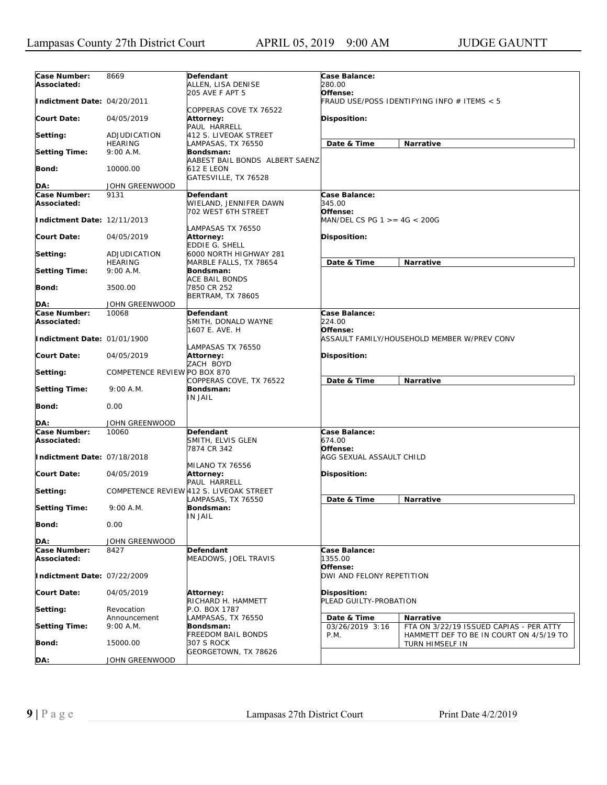| Case Number:<br>Associated: | 8669                         | Defendant<br>ALLEN, LISA DENISE                                   | Case Balance:<br>280.00                |                                                            |
|-----------------------------|------------------------------|-------------------------------------------------------------------|----------------------------------------|------------------------------------------------------------|
| Indictment Date: 04/20/2011 |                              | 205 AVE F APT 5                                                   | Offense:                               | FRAUD USE/POSS IDENTIFYING INFO # ITEMS < 5                |
| Court Date:                 | 04/05/2019                   | COPPERAS COVE TX 76522<br><b>Attorney:</b><br>PAUL HARRELL        | <b>Disposition:</b>                    |                                                            |
| Setting:                    | ADJUDICATION                 | 412 S. LIVEOAK STREET                                             |                                        |                                                            |
| <b>Setting Time:</b>        | <b>HEARING</b><br>9:00 A.M.  | LAMPASAS, TX 76550<br>Bondsman:                                   | Date & Time                            | Narrative                                                  |
| Bond:                       | 10000.00                     | AABEST BAIL BONDS ALBERT SAENZ<br><b>612 E LEON</b>               |                                        |                                                            |
| DA:                         | JOHN GREENWOOD               | GATESVILLE, TX 76528                                              |                                        |                                                            |
|                             |                              |                                                                   |                                        |                                                            |
| Case Number:<br>Associated: | 9131                         | <b>Defendant</b><br>WIELAND, JENNIFER DAWN<br>702 WEST 6TH STREET | Case Balance:<br>345.00<br>Offense:    |                                                            |
| Indictment Date: 12/11/2013 |                              | LAMPASAS TX 76550                                                 | MAN/DEL CS PG 1 >= 4G < 200G           |                                                            |
| Court Date:                 | 04/05/2019                   | <b>Attorney:</b><br><b>EDDIE G. SHELL</b>                         | <b>Disposition:</b>                    |                                                            |
| Setting:                    | ADJUDICATION                 | 6000 NORTH HIGHWAY 281                                            |                                        |                                                            |
| <b>Setting Time:</b>        | <b>HEARING</b><br>9:00 A.M.  | MARBLE FALLS, TX 78654<br>Bondsman:                               | Date & Time                            | Narrative                                                  |
| <b>Bond:</b>                | 3500.00                      | <b>ACE BAIL BONDS</b><br>7850 CR 252                              |                                        |                                                            |
|                             |                              | <b>BERTRAM, TX 78605</b>                                          |                                        |                                                            |
| DA:                         | JOHN GREENWOOD               |                                                                   |                                        |                                                            |
| Case Number:                | 10068                        | <b>Defendant</b>                                                  | Case Balance:<br>224.00                |                                                            |
| Associated:                 |                              | SMITH, DONALD WAYNE<br>1607 E. AVE. H                             | Offense:                               |                                                            |
| Indictment Date: 01/01/1900 |                              | LAMPASAS TX 76550                                                 |                                        | ASSAULT FAMILY/HOUSEHOLD MEMBER W/PREV CONV                |
| Court Date:                 | 04/05/2019                   | Attorney:<br>ZACH BOYD                                            | <b>Disposition:</b>                    |                                                            |
| Setting:                    | COMPETENCE REVIEW PO BOX 870 | COPPERAS COVE, TX 76522                                           | Date & Time                            | Narrative                                                  |
| <b>Setting Time:</b>        | 9:00 A.M.                    | Bondsman:<br>IN JAIL                                              |                                        |                                                            |
| <b>Bond:</b>                | 0.00                         |                                                                   |                                        |                                                            |
| DA:                         | JOHN GREENWOOD               |                                                                   |                                        |                                                            |
| Case Number:<br>Associated: | 10060                        | Defendant<br>SMITH, ELVIS GLEN<br>7874 CR 342                     | Case Balance:<br>674.00<br>Offense:    |                                                            |
| Indictment Date: 07/18/2018 |                              |                                                                   | AGG SEXUAL ASSAULT CHILD               |                                                            |
| Court Date:                 | 04/05/2019                   | MILANO TX 76556<br><b>Attorney:</b><br>PAUL HARRELL               | <b>Disposition:</b>                    |                                                            |
| Setting:                    |                              | COMPETENCE REVIEW 412 S. LIVEOAK STREET<br>LAMPASAS, TX 76550     | Date & Time                            | Narrative                                                  |
| <b>Setting Time:</b>        | 9:00 A.M.                    | Bondsman:<br><b>IN JAIL</b>                                       |                                        |                                                            |
| <b>Bond:</b>                | 0.00                         |                                                                   |                                        |                                                            |
| DA:                         | <b>JOHN GREENWOOD</b>        |                                                                   |                                        |                                                            |
| Case Number:<br>Associated: | 8427                         | Defendant<br>MEADOWS, JOEL TRAVIS                                 | Case Balance:<br>1355.00               |                                                            |
| Indictment Date: 07/22/2009 |                              |                                                                   | Offense:<br>DWI AND FELONY REPETITION  |                                                            |
| <b>Court Date:</b>          | 04/05/2019                   | Attorney:<br>RICHARD H. HAMMETT                                   | Disposition:<br>PLEAD GUILTY-PROBATION |                                                            |
| Setting:                    | Revocation<br>Announcement   | P.O. BOX 1787<br>LAMPASAS, TX 76550                               | Date & Time                            | Narrative                                                  |
| <b>Setting Time:</b>        | 9:00 A.M.                    | Bondsman:                                                         | 03/26/2019 3:16                        | FTA ON 3/22/19 ISSUED CAPIAS - PER ATTY                    |
| Bond:                       | 15000.00                     | <b>FREEDOM BAIL BONDS</b><br>307 S ROCK<br>GEORGETOWN, TX 78626   | P.M.                                   | HAMMETT DEF TO BE IN COURT ON 4/5/19 TO<br>TURN HIMSELF IN |
| DA:                         | JOHN GREENWOOD               |                                                                   |                                        |                                                            |